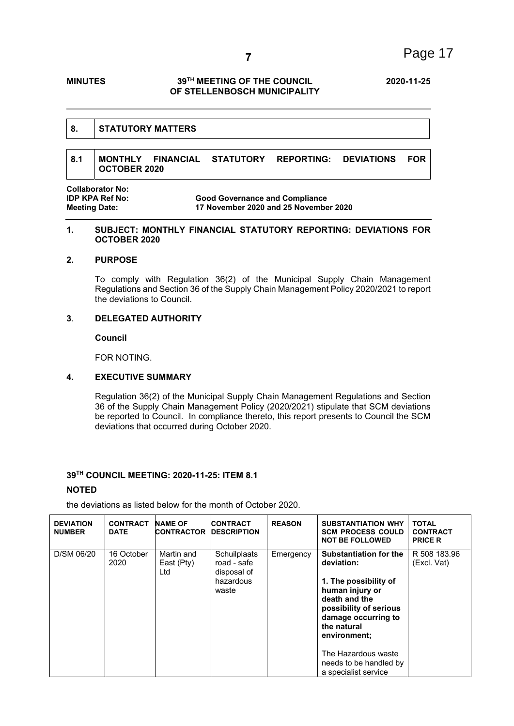# **MINUTES 39TH MEETING OF THE COUNCIL 2020-11-25 OF STELLENBOSCH MUNICIPALITY**

#### **8. STATUTORY MATTERS**

# **8.1 MONTHLY FINANCIAL STATUTORY REPORTING: DEVIATIONS FOR OCTOBER 2020**

**Collaborator No:** 

**IDP KPA Ref No: Good Governance and Compliance Meeting Date: 17 November 2020 and 25 November 2020**

#### **1. SUBJECT: MONTHLY FINANCIAL STATUTORY REPORTING: DEVIATIONS FOR OCTOBER 2020**

# **2. PURPOSE**

To comply with Regulation 36(2) of the Municipal Supply Chain Management Regulations and Section 36 of the Supply Chain Management Policy 2020/2021 to report the deviations to Council.

# **3**. **DELEGATED AUTHORITY**

**Council** 

FOR NOTING.

### **4. EXECUTIVE SUMMARY**

Regulation 36(2) of the Municipal Supply Chain Management Regulations and Section 36 of the Supply Chain Management Policy (2020/2021) stipulate that SCM deviations be reported to Council. In compliance thereto, this report presents to Council the SCM deviations that occurred during October 2020.

### **39TH COUNCIL MEETING: 2020-11-25: ITEM 8.1**

# **NOTED**

the deviations as listed below for the month of October 2020.

| <b>DEVIATION</b><br><b>NUMBER</b> | <b>CONTRACT</b><br><b>DATE</b> | <b>NAME OF</b><br><b>CONTRACTOR</b> | <b>CONTRACT</b><br><b>DESCRIPTION</b>                            | <b>REASON</b> | <b>SUBSTANTIATION WHY</b><br><b>SCM PROCESS COULD</b><br><b>NOT BE FOLLOWED</b>                                                                                                          | <b>TOTAL</b><br><b>CONTRACT</b><br><b>PRICE R</b> |
|-----------------------------------|--------------------------------|-------------------------------------|------------------------------------------------------------------|---------------|------------------------------------------------------------------------------------------------------------------------------------------------------------------------------------------|---------------------------------------------------|
| D/SM 06/20                        | 16 October<br>2020             | Martin and<br>East (Pty)<br>Ltd     | Schuilplaats<br>road - safe<br>disposal of<br>hazardous<br>waste | Emergency     | <b>Substantiation for the</b><br>deviation:<br>1. The possibility of<br>human injury or<br>death and the<br>possibility of serious<br>damage occurring to<br>the natural<br>environment; | R 508 183.96<br>(Excl. Vat)                       |
|                                   |                                |                                     |                                                                  |               | The Hazardous waste<br>needs to be handled by<br>a specialist service                                                                                                                    |                                                   |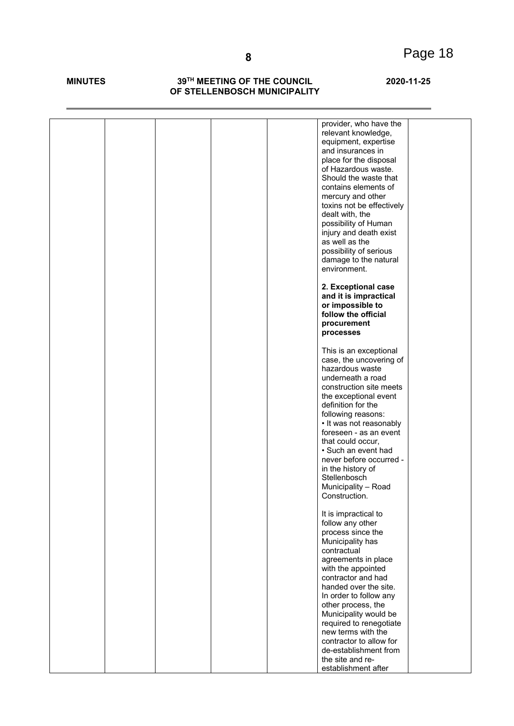### **MINUTES 39TH MEETING OF THE COUNCIL 2020-11-25 OF STELLENBOSCH MUNICIPALITY**

|  | provider, who have the<br>relevant knowledge,    |  |
|--|--------------------------------------------------|--|
|  | equipment, expertise                             |  |
|  | and insurances in                                |  |
|  | place for the disposal                           |  |
|  | of Hazardous waste.                              |  |
|  | Should the waste that                            |  |
|  | contains elements of                             |  |
|  | mercury and other                                |  |
|  | toxins not be effectively                        |  |
|  | dealt with, the                                  |  |
|  | possibility of Human                             |  |
|  | injury and death exist                           |  |
|  | as well as the                                   |  |
|  | possibility of serious                           |  |
|  | damage to the natural<br>environment.            |  |
|  |                                                  |  |
|  | 2. Exceptional case                              |  |
|  | and it is impractical                            |  |
|  | or impossible to                                 |  |
|  | follow the official                              |  |
|  | procurement                                      |  |
|  | processes                                        |  |
|  | This is an exceptional                           |  |
|  | case, the uncovering of                          |  |
|  | hazardous waste                                  |  |
|  | underneath a road                                |  |
|  | construction site meets                          |  |
|  | the exceptional event                            |  |
|  | definition for the                               |  |
|  | following reasons:                               |  |
|  | • It was not reasonably                          |  |
|  | foreseen - as an event                           |  |
|  | that could occur,<br>• Such an event had         |  |
|  | never before occurred -                          |  |
|  | in the history of                                |  |
|  | Stellenbosch                                     |  |
|  | Municipality - Road                              |  |
|  | Construction.                                    |  |
|  |                                                  |  |
|  | It is impractical to                             |  |
|  | follow any other<br>process since the            |  |
|  | Municipality has                                 |  |
|  | contractual                                      |  |
|  | agreements in place                              |  |
|  | with the appointed                               |  |
|  | contractor and had                               |  |
|  | handed over the site.                            |  |
|  | In order to follow any                           |  |
|  | other process, the                               |  |
|  | Municipality would be                            |  |
|  | required to renegotiate                          |  |
|  | new terms with the                               |  |
|  | contractor to allow for<br>de-establishment from |  |
|  | the site and re-                                 |  |
|  | establishment after                              |  |
|  |                                                  |  |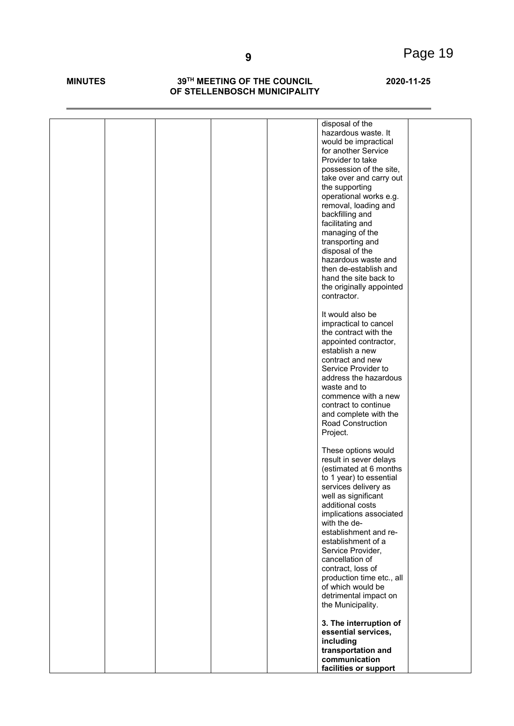### **MINUTES 39TH MEETING OF THE COUNCIL 2020-11-25 OF STELLENBOSCH MUNICIPALITY**

| disposal of the           |
|---------------------------|
| hazardous waste. It       |
| would be impractical      |
| for another Service       |
| Provider to take          |
| possession of the site,   |
| take over and carry out   |
| the supporting            |
| operational works e.g.    |
| removal, loading and      |
| backfilling and           |
| facilitating and          |
| managing of the           |
| transporting and          |
| disposal of the           |
| hazardous waste and       |
| then de-establish and     |
| hand the site back to     |
| the originally appointed  |
| contractor.               |
|                           |
| It would also be          |
| impractical to cancel     |
| the contract with the     |
| appointed contractor,     |
| establish a new           |
| contract and new          |
| Service Provider to       |
| address the hazardous     |
| waste and to              |
| commence with a new       |
| contract to continue      |
| and complete with the     |
| Road Construction         |
| Project.                  |
|                           |
| These options would       |
| result in sever delays    |
| (estimated at 6 months    |
| to 1 year) to essential   |
| services delivery as      |
| well as significant       |
| additional costs          |
| implications associated   |
| with the de-              |
| establishment and re-     |
| establishment of a        |
| Service Provider,         |
| cancellation of           |
| contract, loss of         |
| production time etc., all |
| of which would be         |
| detrimental impact on     |
| the Municipality.         |
|                           |
| 3. The interruption of    |
| essential services,       |
| including                 |
| transportation and        |
| communication             |
|                           |
| facilities or support     |